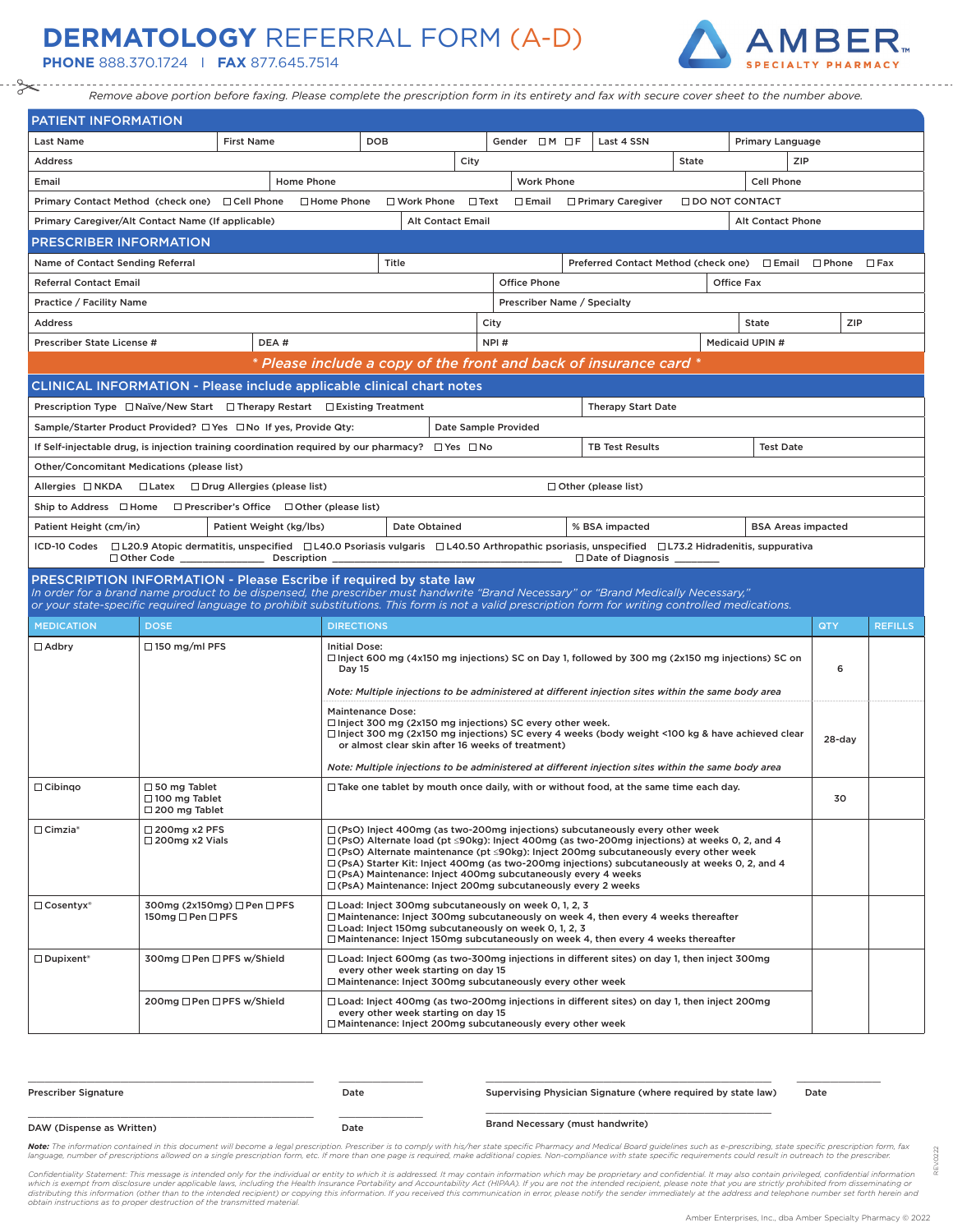## **DERMATOLOGY** REFERRAL FORM (A-D)

**PHONE** 888.370.1724 I **FAX** 877.645.7514



*Remove above portion before faxing. Please complete the prescription form in its entirety and fax with secure cover sheet to the number above.*

| PATIENT INFORMATION                                                                                                                                                                                      |                                                                                                                                                                     |                                                                                                                                                                                                                                                                                                                                                                                                                                                                                                                                                  |                                                                   |                                                                                                                                                                                                                                                                                                                                                              |      |                             |  |                                                                                                        |                   |                           |           |                |
|----------------------------------------------------------------------------------------------------------------------------------------------------------------------------------------------------------|---------------------------------------------------------------------------------------------------------------------------------------------------------------------|--------------------------------------------------------------------------------------------------------------------------------------------------------------------------------------------------------------------------------------------------------------------------------------------------------------------------------------------------------------------------------------------------------------------------------------------------------------------------------------------------------------------------------------------------|-------------------------------------------------------------------|--------------------------------------------------------------------------------------------------------------------------------------------------------------------------------------------------------------------------------------------------------------------------------------------------------------------------------------------------------------|------|-----------------------------|--|--------------------------------------------------------------------------------------------------------|-------------------|---------------------------|-----------|----------------|
| <b>Last Name</b>                                                                                                                                                                                         |                                                                                                                                                                     | <b>First Name</b>                                                                                                                                                                                                                                                                                                                                                                                                                                                                                                                                | DOB                                                               |                                                                                                                                                                                                                                                                                                                                                              |      | Gender $\Box$ M $\Box$ F    |  | Last 4 SSN                                                                                             |                   | Primary Language          |           |                |
| Address                                                                                                                                                                                                  |                                                                                                                                                                     |                                                                                                                                                                                                                                                                                                                                                                                                                                                                                                                                                  |                                                                   |                                                                                                                                                                                                                                                                                                                                                              | City |                             |  |                                                                                                        | State             | ZIP                       |           |                |
| Email                                                                                                                                                                                                    | Home Phone                                                                                                                                                          |                                                                                                                                                                                                                                                                                                                                                                                                                                                                                                                                                  |                                                                   |                                                                                                                                                                                                                                                                                                                                                              |      | <b>Work Phone</b>           |  |                                                                                                        |                   | <b>Cell Phone</b>         |           |                |
| Primary Contact Method (check one) □ Cell Phone □ Home Phone                                                                                                                                             |                                                                                                                                                                     |                                                                                                                                                                                                                                                                                                                                                                                                                                                                                                                                                  |                                                                   | $\Box$ Work Phone $\Box$ Text                                                                                                                                                                                                                                                                                                                                |      | $\square$ Email             |  | □ Primary Caregiver                                                                                    | □ DO NOT CONTACT  |                           |           |                |
| Primary Caregiver/Alt Contact Name (If applicable)                                                                                                                                                       |                                                                                                                                                                     |                                                                                                                                                                                                                                                                                                                                                                                                                                                                                                                                                  |                                                                   | <b>Alt Contact Email</b>                                                                                                                                                                                                                                                                                                                                     |      |                             |  |                                                                                                        |                   | <b>Alt Contact Phone</b>  |           |                |
| <b>PRESCRIBER INFORMATION</b>                                                                                                                                                                            |                                                                                                                                                                     |                                                                                                                                                                                                                                                                                                                                                                                                                                                                                                                                                  |                                                                   |                                                                                                                                                                                                                                                                                                                                                              |      |                             |  |                                                                                                        |                   |                           |           |                |
| Name of Contact Sending Referral                                                                                                                                                                         |                                                                                                                                                                     |                                                                                                                                                                                                                                                                                                                                                                                                                                                                                                                                                  |                                                                   | Title                                                                                                                                                                                                                                                                                                                                                        |      |                             |  | Preferred Contact Method (check one) $\Box$ Email $\Box$ Phone $\Box$ Fax                              |                   |                           |           |                |
| <b>Referral Contact Email</b>                                                                                                                                                                            |                                                                                                                                                                     |                                                                                                                                                                                                                                                                                                                                                                                                                                                                                                                                                  |                                                                   |                                                                                                                                                                                                                                                                                                                                                              |      | <b>Office Phone</b>         |  |                                                                                                        | <b>Office Fax</b> |                           |           |                |
| Practice / Facility Name                                                                                                                                                                                 |                                                                                                                                                                     |                                                                                                                                                                                                                                                                                                                                                                                                                                                                                                                                                  |                                                                   |                                                                                                                                                                                                                                                                                                                                                              |      | Prescriber Name / Specialty |  |                                                                                                        |                   |                           |           |                |
| Address                                                                                                                                                                                                  |                                                                                                                                                                     |                                                                                                                                                                                                                                                                                                                                                                                                                                                                                                                                                  |                                                                   |                                                                                                                                                                                                                                                                                                                                                              | City |                             |  |                                                                                                        |                   | State                     | ZIP       |                |
| Prescriber State License #                                                                                                                                                                               |                                                                                                                                                                     | DEA#                                                                                                                                                                                                                                                                                                                                                                                                                                                                                                                                             |                                                                   |                                                                                                                                                                                                                                                                                                                                                              |      | NPI#                        |  |                                                                                                        |                   | Medicaid UPIN #           |           |                |
|                                                                                                                                                                                                          |                                                                                                                                                                     |                                                                                                                                                                                                                                                                                                                                                                                                                                                                                                                                                  | * Please include a copy of the front and back of insurance card * |                                                                                                                                                                                                                                                                                                                                                              |      |                             |  |                                                                                                        |                   |                           |           |                |
| CLINICAL INFORMATION - Please include applicable clinical chart notes                                                                                                                                    |                                                                                                                                                                     |                                                                                                                                                                                                                                                                                                                                                                                                                                                                                                                                                  |                                                                   |                                                                                                                                                                                                                                                                                                                                                              |      |                             |  |                                                                                                        |                   |                           |           |                |
| Prescription Type $\Box$ Naïve/New Start $\Box$ Therapy Restart $\Box$ Existing Treatment                                                                                                                |                                                                                                                                                                     |                                                                                                                                                                                                                                                                                                                                                                                                                                                                                                                                                  |                                                                   |                                                                                                                                                                                                                                                                                                                                                              |      |                             |  | <b>Therapy Start Date</b>                                                                              |                   |                           |           |                |
| Sample/Starter Product Provided? □ Yes □ No If yes, Provide Qty:                                                                                                                                         |                                                                                                                                                                     |                                                                                                                                                                                                                                                                                                                                                                                                                                                                                                                                                  |                                                                   |                                                                                                                                                                                                                                                                                                                                                              |      | Date Sample Provided        |  |                                                                                                        |                   |                           |           |                |
| If Self-injectable drug, is injection training coordination required by our pharmacy? $\square$ Yes $\square$ No                                                                                         |                                                                                                                                                                     |                                                                                                                                                                                                                                                                                                                                                                                                                                                                                                                                                  |                                                                   |                                                                                                                                                                                                                                                                                                                                                              |      |                             |  | <b>TB Test Results</b>                                                                                 |                   | <b>Test Date</b>          |           |                |
| Other/Concomitant Medications (please list)                                                                                                                                                              |                                                                                                                                                                     |                                                                                                                                                                                                                                                                                                                                                                                                                                                                                                                                                  |                                                                   |                                                                                                                                                                                                                                                                                                                                                              |      |                             |  |                                                                                                        |                   |                           |           |                |
| Allergies □ NKDA □ Latex □ Drug Allergies (please list)                                                                                                                                                  |                                                                                                                                                                     |                                                                                                                                                                                                                                                                                                                                                                                                                                                                                                                                                  |                                                                   |                                                                                                                                                                                                                                                                                                                                                              |      |                             |  | $\Box$ Other (please list)                                                                             |                   |                           |           |                |
| Ship to Address $\Box$ Home $\Box$ Prescriber's Office $\Box$ Other (please list)                                                                                                                        |                                                                                                                                                                     |                                                                                                                                                                                                                                                                                                                                                                                                                                                                                                                                                  |                                                                   |                                                                                                                                                                                                                                                                                                                                                              |      |                             |  |                                                                                                        |                   |                           |           |                |
| Patient Height (cm/in)                                                                                                                                                                                   |                                                                                                                                                                     | Patient Weight (kg/lbs)                                                                                                                                                                                                                                                                                                                                                                                                                                                                                                                          |                                                                   | Date Obtained                                                                                                                                                                                                                                                                                                                                                |      |                             |  | % BSA impacted                                                                                         |                   | <b>BSA Areas impacted</b> |           |                |
| ICD-10 Codes □ L20.9 Atopic dermatitis, unspecified □ L40.0 Psoriasis vulgaris □ L40.50 Arthropathic psoriasis, unspecified □ L73.2 Hidradenitis, suppurativa                                            |                                                                                                                                                                     |                                                                                                                                                                                                                                                                                                                                                                                                                                                                                                                                                  |                                                                   |                                                                                                                                                                                                                                                                                                                                                              |      |                             |  |                                                                                                        |                   |                           |           |                |
|                                                                                                                                                                                                          | □ Other Code ________________________ Description ____                                                                                                              |                                                                                                                                                                                                                                                                                                                                                                                                                                                                                                                                                  |                                                                   |                                                                                                                                                                                                                                                                                                                                                              |      |                             |  | □ Date of Diagnosis _________                                                                          |                   |                           |           |                |
| PRESCRIPTION INFORMATION - Please Escribe if required by state law<br>In order for a brand name product to be dispensed, the prescriber must handwrite "Brand Necessary" or "Brand Medically Necessary," |                                                                                                                                                                     |                                                                                                                                                                                                                                                                                                                                                                                                                                                                                                                                                  |                                                                   |                                                                                                                                                                                                                                                                                                                                                              |      |                             |  |                                                                                                        |                   |                           |           |                |
| or your state-specific required language to prohibit substitutions. This form is not a valid prescription form for writing controlled medications.                                                       |                                                                                                                                                                     |                                                                                                                                                                                                                                                                                                                                                                                                                                                                                                                                                  |                                                                   |                                                                                                                                                                                                                                                                                                                                                              |      |                             |  |                                                                                                        |                   |                           |           |                |
| <b>MEDICATION</b>                                                                                                                                                                                        | <b>DOSE</b>                                                                                                                                                         |                                                                                                                                                                                                                                                                                                                                                                                                                                                                                                                                                  | <b>DIRECTIONS</b>                                                 |                                                                                                                                                                                                                                                                                                                                                              |      |                             |  |                                                                                                        |                   |                           | QTY       | <b>REFILLS</b> |
| $\Box$ Adbry                                                                                                                                                                                             | $\Box$ 150 mg/ml PFS                                                                                                                                                |                                                                                                                                                                                                                                                                                                                                                                                                                                                                                                                                                  | <b>Initial Dose:</b><br><b>Day 15</b>                             |                                                                                                                                                                                                                                                                                                                                                              |      |                             |  | $\Box$ Inject 600 mg (4x150 mg injections) SC on Day 1, followed by 300 mg (2x150 mg injections) SC on |                   |                           | 6         |                |
|                                                                                                                                                                                                          |                                                                                                                                                                     |                                                                                                                                                                                                                                                                                                                                                                                                                                                                                                                                                  |                                                                   | Note: Multiple injections to be administered at different injection sites within the same body area                                                                                                                                                                                                                                                          |      |                             |  |                                                                                                        |                   |                           |           |                |
|                                                                                                                                                                                                          |                                                                                                                                                                     |                                                                                                                                                                                                                                                                                                                                                                                                                                                                                                                                                  |                                                                   | <b>Maintenance Dose:</b><br>$\Box$ Inject 300 mg (2x150 mg injections) SC every other week.<br>□ Inject 300 mg (2x150 mg injections) SC every 4 weeks (body weight <100 kg & have achieved clear<br>or almost clear skin after 16 weeks of treatment)<br>Note: Multiple injections to be administered at different injection sites within the same body area |      |                             |  |                                                                                                        |                   |                           | $28$ -day |                |
| $\Box$ Cibingo                                                                                                                                                                                           | $\Box$ 50 mg Tablet<br>$\Box$ Take one tablet by mouth once daily, with or without food, at the same time each day.<br>$\Box$ 100 mg Tablet<br>$\Box$ 200 mg Tablet |                                                                                                                                                                                                                                                                                                                                                                                                                                                                                                                                                  |                                                                   |                                                                                                                                                                                                                                                                                                                                                              |      |                             |  | 30                                                                                                     |                   |                           |           |                |
| $\Box$ Cimzia*                                                                                                                                                                                           | $\Box$ 200mg x2 PFS<br>$\Box$ 200mg x2 Vials                                                                                                                        | $\Box$ (PsO) Inject 400mg (as two-200mg injections) subcutaneously every other week<br>$\Box$ (PsO) Alternate load (pt $\leq$ 90kg): Inject 400mg (as two-200mg injections) at weeks 0, 2, and 4<br>$\Box$ (PsO) Alternate maintenance (pt <90kg): Inject 200mg subcutaneously every other week<br>$\Box$ (PsA) Starter Kit: Inject 400mg (as two-200mg injections) subcutaneously at weeks 0, 2, and 4<br>$\Box$ (PsA) Maintenance: Inject 400mg subcutaneously every 4 weeks<br>□ (PsA) Maintenance: Inject 200mg subcutaneously every 2 weeks |                                                                   |                                                                                                                                                                                                                                                                                                                                                              |      |                             |  |                                                                                                        |                   |                           |           |                |
| $\Box$ Cosentyx <sup>®</sup>                                                                                                                                                                             | 150mg □ Pen □ PFS                                                                                                                                                   | 300mg (2x150mg) □ Pen □ PFS                                                                                                                                                                                                                                                                                                                                                                                                                                                                                                                      |                                                                   | $\Box$ Load: Inject 300mg subcutaneously on week 0, 1, 2, 3<br>$\Box$ Maintenance: Inject 300mg subcutaneously on week 4, then every 4 weeks thereafter<br>$\Box$ Load: Inject 150mg subcutaneously on week 0, 1, 2, 3<br>$\Box$ Maintenance: Inject 150mg subcutaneously on week 4, then every 4 weeks thereafter                                           |      |                             |  |                                                                                                        |                   |                           |           |                |
| $\Box$ Dupixent <sup>®</sup>                                                                                                                                                                             | 300mg □ Pen □ PFS w/Shield                                                                                                                                          |                                                                                                                                                                                                                                                                                                                                                                                                                                                                                                                                                  |                                                                   | $\Box$ Load: Inject 600mg (as two-300mg injections in different sites) on day 1, then inject 300mg<br>every other week starting on day 15<br>□ Maintenance: Inject 300mg subcutaneously every other week                                                                                                                                                     |      |                             |  |                                                                                                        |                   |                           |           |                |
|                                                                                                                                                                                                          | 200mg □ Pen □ PFS w/Shield                                                                                                                                          |                                                                                                                                                                                                                                                                                                                                                                                                                                                                                                                                                  |                                                                   | every other week starting on day 15<br>□ Maintenance: Inject 200mg subcutaneously every other week                                                                                                                                                                                                                                                           |      |                             |  | $\Box$ Load: Inject 400mg (as two-200mg injections in different sites) on day 1, then inject 200mg     |                   |                           |           |                |

| <b>Prescriber Signature</b> | Date | Supervising Physician Signature (where required by state law) | Date |
|-----------------------------|------|---------------------------------------------------------------|------|
| DAW (Dispense as Written)   | Date | Brand Necessary (must handwrite)                              |      |

Note: The information contained in this document will become a legal prescription. Prescriber is to comply with his/her state specific Pharmacy and Medical Board guidelines such as e-prescribing, state specific prescriptio language, number of prescriptions allowed on a single prescription form, etc. If more than one page is required, make additional copies. Non-compliance with state specific requirements could result in outreach to the presc

Confidentiality Statement: This message is intended only for the individual or entity to which it is addressed. It may contain information which may be proprietary and confidential. It may also contain privileged, confiden

REV.0222

0222 è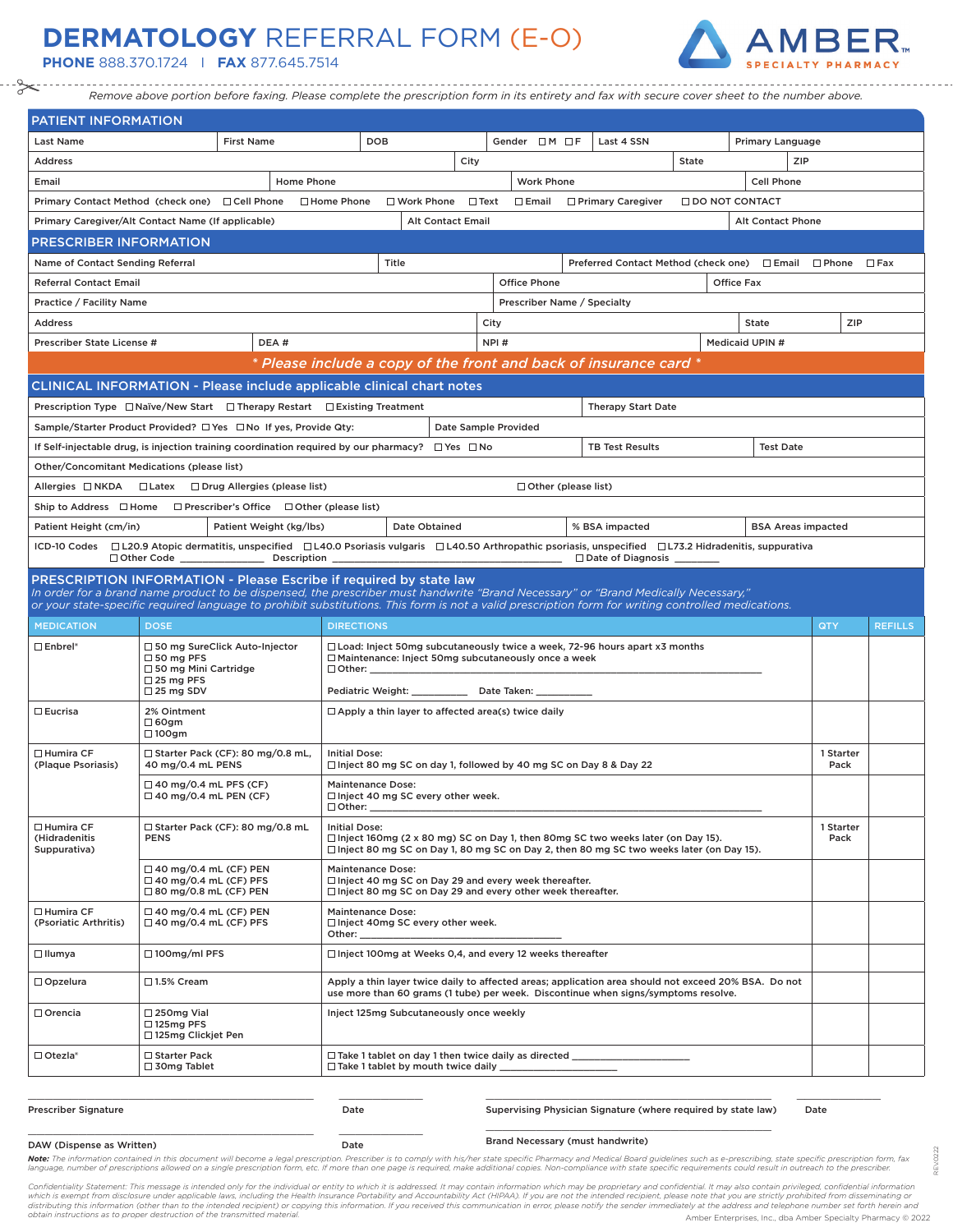## **DERMATOLOGY** REFERRAL FORM (E-O)

**PHONE** 888.370.1724 I **FAX** 877.645.7514



-----------------------------------*Remove above portion before faxing. Please complete the prescription form in its entirety and fax with secure cover sheet to the number above.*

| <b>PATIENT INFORMATION</b>                                                                                                                                        |                                                                                                                                                                                                                                                                                                                                                                       |      |                                                                                    |  |  |      |                                                                                                                             |                   |                                                                                  |     |                        |                  |                   |                |
|-------------------------------------------------------------------------------------------------------------------------------------------------------------------|-----------------------------------------------------------------------------------------------------------------------------------------------------------------------------------------------------------------------------------------------------------------------------------------------------------------------------------------------------------------------|------|------------------------------------------------------------------------------------|--|--|------|-----------------------------------------------------------------------------------------------------------------------------|-------------------|----------------------------------------------------------------------------------|-----|------------------------|------------------|-------------------|----------------|
| Last Name                                                                                                                                                         | <b>First Name</b>                                                                                                                                                                                                                                                                                                                                                     |      | <b>DOB</b>                                                                         |  |  |      | Gender $\Box$ M $\Box$ F                                                                                                    |                   | Last 4 SSN                                                                       |     |                        | Primary Language |                   |                |
| <b>Address</b>                                                                                                                                                    |                                                                                                                                                                                                                                                                                                                                                                       |      |                                                                                    |  |  |      | State                                                                                                                       |                   |                                                                                  | ZIP |                        |                  |                   |                |
| Email                                                                                                                                                             | Home Phone<br><b>Work Phone</b><br><b>Cell Phone</b>                                                                                                                                                                                                                                                                                                                  |      |                                                                                    |  |  |      |                                                                                                                             |                   |                                                                                  |     |                        |                  |                   |                |
| Primary Contact Method (check one) □ Cell Phone □ Home Phone<br>$\Box$ Work Phone $\Box$ Text<br>$\square$ Email<br>□ Primary Caregiver<br><b>ODO NOT CONTACT</b> |                                                                                                                                                                                                                                                                                                                                                                       |      |                                                                                    |  |  |      |                                                                                                                             |                   |                                                                                  |     |                        |                  |                   |                |
| Primary Caregiver/Alt Contact Name (If applicable)<br><b>Alt Contact Email</b><br><b>Alt Contact Phone</b>                                                        |                                                                                                                                                                                                                                                                                                                                                                       |      |                                                                                    |  |  |      |                                                                                                                             |                   |                                                                                  |     |                        |                  |                   |                |
| <b>PRESCRIBER INFORMATION</b>                                                                                                                                     |                                                                                                                                                                                                                                                                                                                                                                       |      |                                                                                    |  |  |      |                                                                                                                             |                   |                                                                                  |     |                        |                  |                   |                |
| Title<br>Name of Contact Sending Referral<br>Preferred Contact Method (check one) □ Email □ Phone                                                                 |                                                                                                                                                                                                                                                                                                                                                                       |      |                                                                                    |  |  |      |                                                                                                                             |                   | $\square$ Fax                                                                    |     |                        |                  |                   |                |
| <b>Office Phone</b><br><b>Office Fax</b><br><b>Referral Contact Email</b>                                                                                         |                                                                                                                                                                                                                                                                                                                                                                       |      |                                                                                    |  |  |      |                                                                                                                             |                   |                                                                                  |     |                        |                  |                   |                |
| Prescriber Name / Specialty<br>Practice / Facility Name                                                                                                           |                                                                                                                                                                                                                                                                                                                                                                       |      |                                                                                    |  |  |      |                                                                                                                             |                   |                                                                                  |     |                        |                  |                   |                |
| <b>Address</b>                                                                                                                                                    |                                                                                                                                                                                                                                                                                                                                                                       |      |                                                                                    |  |  | City |                                                                                                                             |                   |                                                                                  |     |                        | State            | ZIP               |                |
| Prescriber State License #                                                                                                                                        |                                                                                                                                                                                                                                                                                                                                                                       | DEA# |                                                                                    |  |  | NPI# |                                                                                                                             |                   |                                                                                  |     | <b>Medicaid UPIN #</b> |                  |                   |                |
|                                                                                                                                                                   |                                                                                                                                                                                                                                                                                                                                                                       |      |                                                                                    |  |  |      |                                                                                                                             |                   | * Please include a copy of the front and back of insurance card *                |     |                        |                  |                   |                |
|                                                                                                                                                                   | CLINICAL INFORMATION - Please include applicable clinical chart notes                                                                                                                                                                                                                                                                                                 |      |                                                                                    |  |  |      |                                                                                                                             |                   |                                                                                  |     |                        |                  |                   |                |
|                                                                                                                                                                   | Prescription Type $\Box$ Naïve/New Start $\Box$ Therapy Restart $\Box$ Existing Treatment                                                                                                                                                                                                                                                                             |      |                                                                                    |  |  |      |                                                                                                                             |                   | <b>Therapy Start Date</b>                                                        |     |                        |                  |                   |                |
|                                                                                                                                                                   | Sample/Starter Product Provided? □ Yes □ No If yes, Provide Qty:                                                                                                                                                                                                                                                                                                      |      |                                                                                    |  |  |      | Date Sample Provided                                                                                                        |                   |                                                                                  |     |                        |                  |                   |                |
|                                                                                                                                                                   | If Self-injectable drug, is injection training coordination required by our pharmacy? $\square$ Yes $\square$ No                                                                                                                                                                                                                                                      |      |                                                                                    |  |  |      |                                                                                                                             |                   | <b>TB Test Results</b>                                                           |     |                        | <b>Test Date</b> |                   |                |
|                                                                                                                                                                   | Other/Concomitant Medications (please list)                                                                                                                                                                                                                                                                                                                           |      |                                                                                    |  |  |      |                                                                                                                             |                   |                                                                                  |     |                        |                  |                   |                |
|                                                                                                                                                                   | Allergies □ NKDA □ Latex □ Drug Allergies (please list)                                                                                                                                                                                                                                                                                                               |      |                                                                                    |  |  |      | $\Box$ Other (please list)                                                                                                  |                   |                                                                                  |     |                        |                  |                   |                |
|                                                                                                                                                                   | Ship to Address $\Box$ Home $\Box$ Prescriber's Office $\Box$ Other (please list)                                                                                                                                                                                                                                                                                     |      |                                                                                    |  |  |      |                                                                                                                             |                   |                                                                                  |     |                        |                  |                   |                |
| Patient Height (cm/in)<br>Patient Weight (kg/lbs)<br>Date Obtained<br>% BSA impacted<br><b>BSA Areas impacted</b>                                                 |                                                                                                                                                                                                                                                                                                                                                                       |      |                                                                                    |  |  |      |                                                                                                                             |                   |                                                                                  |     |                        |                  |                   |                |
|                                                                                                                                                                   | ICD-10 Codes □ L20.9 Atopic dermatitis, unspecified □ L40.0 Psoriasis vulgaris □ L40.50 Arthropathic psoriasis, unspecified □ L73.2 Hidradenitis, suppurativa                                                                                                                                                                                                         |      |                                                                                    |  |  |      |                                                                                                                             |                   |                                                                                  |     |                        |                  |                   |                |
|                                                                                                                                                                   | <b>PRESCRIPTION INFORMATION - Please Escribe if required by state law</b><br>In order for a brand name product to be dispensed, the prescriber must handwrite "Brand Necessary" or "Brand Medically Necessary,"<br>or your state-specific required language to prohibit substitutions. This form is not a valid prescription form for writing controlled medications. |      |                                                                                    |  |  |      |                                                                                                                             |                   |                                                                                  |     |                        |                  |                   |                |
| <b>MEDICATION</b>                                                                                                                                                 | <b>DOSE</b>                                                                                                                                                                                                                                                                                                                                                           |      | <b>DIRECTIONS</b>                                                                  |  |  |      |                                                                                                                             |                   |                                                                                  |     |                        |                  | QTY               | <b>REFILLS</b> |
| $\square$ Enbrel*                                                                                                                                                 | □ 50 mg SureClick Auto-Injector<br>$\Box$ Load: Inject 50mg subcutaneously twice a week, 72-96 hours apart x3 months<br>$\Box$ 50 mg PFS<br>$\Box$ Maintenance: Inject 50mg subcutaneously once a week<br>$\Box$ 50 mg Mini Cartridge<br>$\Box$ Other:                                                                                                                |      |                                                                                    |  |  |      |                                                                                                                             |                   |                                                                                  |     |                        |                  |                   |                |
|                                                                                                                                                                   | $\Box$ 25 mg PFS<br>$\Box$ 25 mg SDV                                                                                                                                                                                                                                                                                                                                  |      | Pediatric Weight: ______________ Date Taken: _______                               |  |  |      |                                                                                                                             |                   |                                                                                  |     |                        |                  |                   |                |
| $\square$ Eucrisa                                                                                                                                                 | 2% Ointment<br>□ 60gm<br>$\Box$ 100gm                                                                                                                                                                                                                                                                                                                                 |      |                                                                                    |  |  |      | $\Box$ Apply a thin layer to affected area(s) twice daily                                                                   |                   |                                                                                  |     |                        |                  |                   |                |
| □ Humira CF<br>(Plaque Psoriasis)                                                                                                                                 | $\Box$ Starter Pack (CF): 80 mg/0.8 mL,<br>40 mg/0.4 mL PENS                                                                                                                                                                                                                                                                                                          |      | <b>Initial Dose:</b>                                                               |  |  |      | $\Box$ Inject 80 mg SC on day 1, followed by 40 mg SC on Day 8 & Day 22                                                     |                   |                                                                                  |     |                        |                  | 1 Starter<br>Pack |                |
|                                                                                                                                                                   | $\Box$ 40 mg/0.4 mL PFS (CF)<br><b>Maintenance Dose:</b><br>$\Box$ 40 mg/0.4 mL PEN (CF)<br>$\Box$ Inject 40 mg SC every other week.<br>□ Other:                                                                                                                                                                                                                      |      |                                                                                    |  |  |      |                                                                                                                             |                   |                                                                                  |     |                        |                  |                   |                |
| $\square$ Humira CF<br>(Hidradenitis<br>Suppurativa)                                                                                                              | $\Box$ Starter Pack (CF): 80 mg/0.8 mL<br><b>Initial Dose:</b><br><b>PENS</b><br>$\Box$ Inject 160mg (2 x 80 mg) SC on Day 1, then 80mg SC two weeks later (on Day 15).<br>□ Inject 80 mg SC on Day 1, 80 mg SC on Day 2, then 80 mg SC two weeks later (on Day 15).                                                                                                  |      |                                                                                    |  |  |      |                                                                                                                             | 1 Starter<br>Pack |                                                                                  |     |                        |                  |                   |                |
|                                                                                                                                                                   | $\Box$ 40 mg/0.4 mL (CF) PEN<br>$\Box$ 40 mg/0.4 mL (CF) PFS<br>$\Box$ 80 mg/0.8 mL (CF) PEN                                                                                                                                                                                                                                                                          |      | <b>Maintenance Dose:</b>                                                           |  |  |      | □ Inject 40 mg SC on Day 29 and every week thereafter.<br>$\Box$ Inject 80 mg SC on Day 29 and every other week thereafter. |                   |                                                                                  |     |                        |                  |                   |                |
| □ Humira CF<br>(Psoriatic Arthritis)                                                                                                                              | $\Box$ 40 mg/0.4 mL (CF) PEN<br>$\Box$ 40 mg/0.4 mL (CF) PFS                                                                                                                                                                                                                                                                                                          |      | <b>Maintenance Dose:</b><br>$\Box$ Inject 40mg SC every other week.<br>Other: ____ |  |  |      |                                                                                                                             |                   |                                                                                  |     |                        |                  |                   |                |
| $\Box$ Ilumya                                                                                                                                                     | $\Box$ 100mg/ml PFS                                                                                                                                                                                                                                                                                                                                                   |      | □ Inject 100mg at Weeks 0,4, and every 12 weeks thereafter                         |  |  |      |                                                                                                                             |                   |                                                                                  |     |                        |                  |                   |                |
| $\Box$ Opzelura                                                                                                                                                   | □1.5% Cream<br>Apply a thin layer twice daily to affected areas; application area should not exceed 20% BSA. Do not<br>use more than 60 grams (1 tube) per week. Discontinue when signs/symptoms resolve.                                                                                                                                                             |      |                                                                                    |  |  |      |                                                                                                                             |                   |                                                                                  |     |                        |                  |                   |                |
| $\Box$ Orencia                                                                                                                                                    | $\square$ 250mg Vial<br>Inject 125mg Subcutaneously once weekly<br>$\Box$ 125mg PFS<br>□ 125mg Clickjet Pen                                                                                                                                                                                                                                                           |      |                                                                                    |  |  |      |                                                                                                                             |                   |                                                                                  |     |                        |                  |                   |                |
| $\Box$ Otezla*                                                                                                                                                    | □ Starter Pack<br>□ 30mg Tablet                                                                                                                                                                                                                                                                                                                                       |      |                                                                                    |  |  |      |                                                                                                                             |                   | □ Take 1 tablet on day 1 then twice daily as directed __________________________ |     |                        |                  |                   |                |
|                                                                                                                                                                   |                                                                                                                                                                                                                                                                                                                                                                       |      |                                                                                    |  |  |      |                                                                                                                             |                   |                                                                                  |     |                        |                  |                   |                |

Prescriber Signature Date

\_\_\_\_\_\_\_\_\_\_\_\_\_\_\_\_\_\_\_\_\_\_\_\_\_\_\_\_\_\_\_\_\_\_ \_\_\_\_\_\_\_\_\_\_

Supervising Physician Signature (where required by state law) Date \_\_\_\_\_\_\_\_\_\_\_\_\_\_\_\_\_\_\_\_\_\_\_\_\_\_\_\_\_\_\_\_\_\_

Brand Necessary (must handwrite)

REV.0222

 $(0222)$ 

## DAW (Dispense as Written) Date

Note: The information contained in this document will become a legal prescription. Prescriber is to comply with his/her state specific Pharmacy and Medical Board guidelines such as e-prescribing, state specific prescriptio language, number of prescriptions allowed on a single prescription form, etc. If more than one page is required, make additional copies. Non-compliance with state specific requirements could result in outreach to the presc

Confidentiality Statement: This message is intended only for the individual or entity to which it is addressed. It may contain information which may be proprietary and confidential. It may also contain privileged, confiden